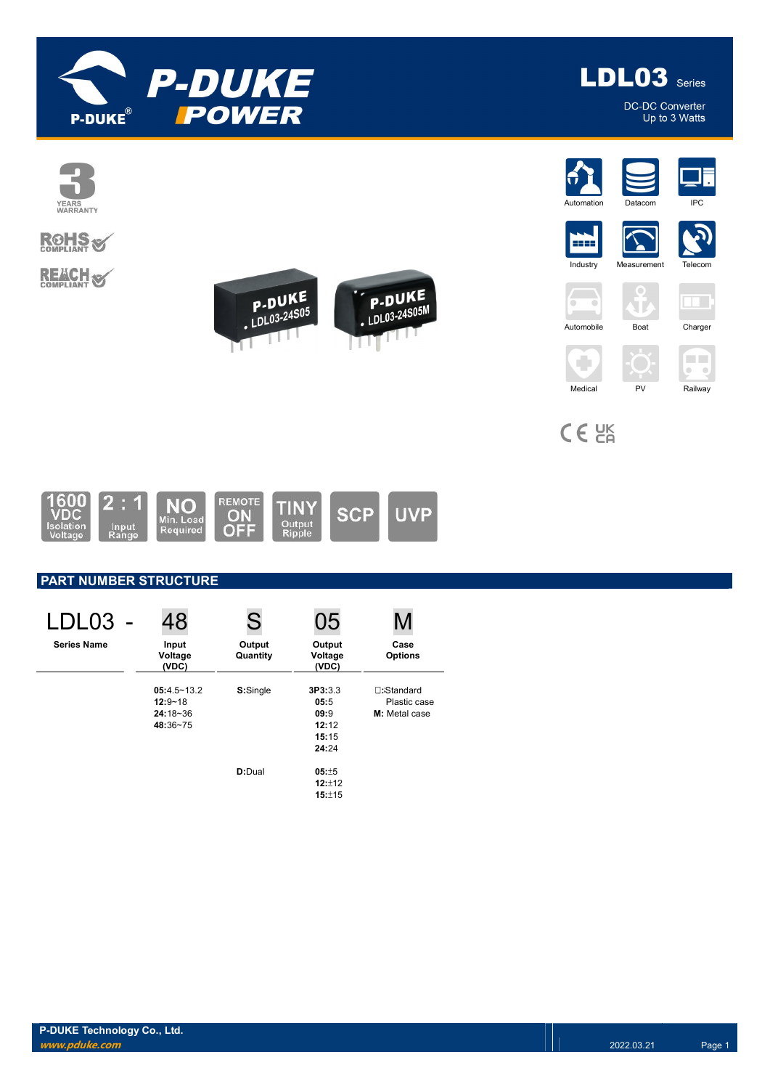



DC-DC Converter Up to 3 Watts



# **ROHS**

**REACH S** 



















CE<sub>EK</sub>

C)



### PART NUMBER STRUCTURE

| LDL03              | 48                                                         | S                  | 05                                                 |                                                    |
|--------------------|------------------------------------------------------------|--------------------|----------------------------------------------------|----------------------------------------------------|
| <b>Series Name</b> | Input<br>Voltage<br>(VDC)                                  | Output<br>Quantity | Output<br>Voltage<br>(VDC)                         | Case<br><b>Options</b>                             |
|                    | $05:4.5 - 13.2$<br>$12:9 - 18$<br>$24:18 - 36$<br>48:36~75 | S:Single           | 3P3:3.3<br>05:5<br>09:9<br>12:12<br>15:15<br>24:24 | <b>∏:Standard</b><br>Plastic case<br>M: Metal case |
|                    |                                                            | D:Dual             | $05: +5$<br>12:112<br>15:±15                       |                                                    |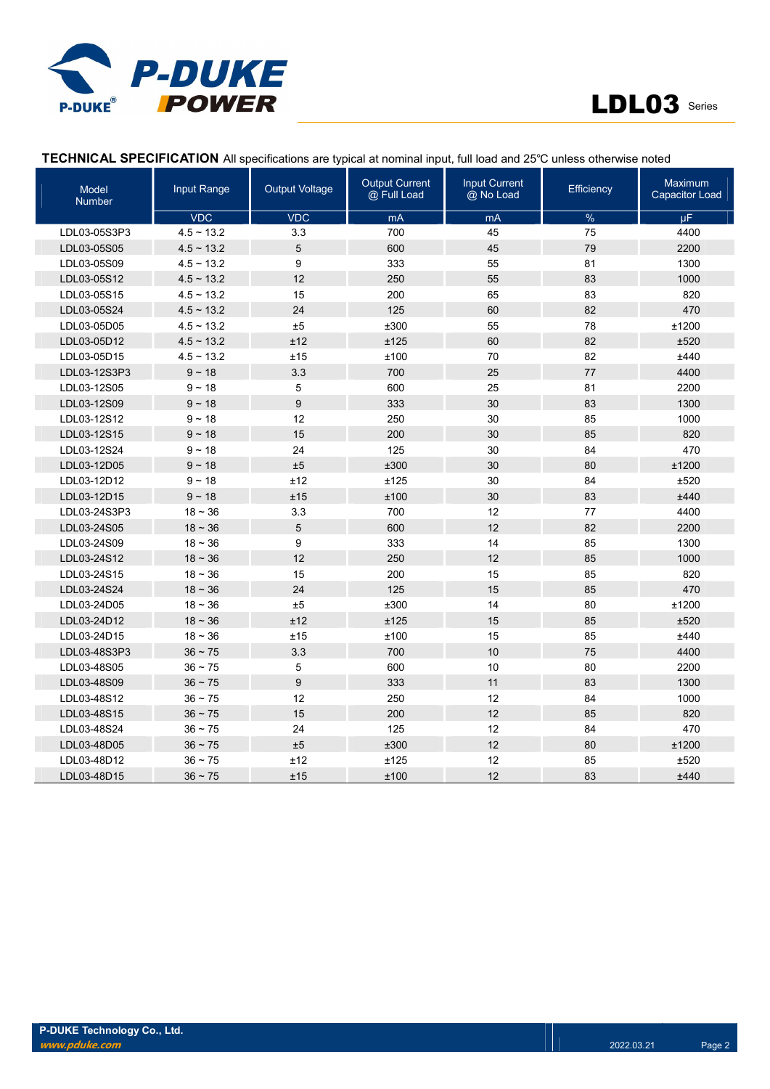

| <b>Model</b><br><b>Number</b> | Input Range     | <b>Output Voltage</b> | <b>Output Current</b><br>@ Full Load | <b>Input Current</b><br>@ No Load | Efficiency | Maximum<br><b>Capacitor Load</b> |
|-------------------------------|-----------------|-----------------------|--------------------------------------|-----------------------------------|------------|----------------------------------|
|                               | <b>VDC</b>      | <b>VDC</b>            | mA                                   | mA                                | $\%$       | μF.                              |
| LDL03-05S3P3                  | $4.5 - 13.2$    | 3.3                   | 700                                  | 45                                | 75         | 4400                             |
| LDL03-05S05                   | $4.5 \sim 13.2$ | 5                     | 600                                  | 45                                | 79         | 2200                             |
| LDL03-05S09                   | $4.5 \sim 13.2$ | 9                     | 333                                  | 55                                | 81         | 1300                             |
| LDL03-05S12                   | $4.5 \sim 13.2$ | 12                    | 250                                  | 55                                | 83         | 1000                             |
| LDL03-05S15                   | $4.5 \sim 13.2$ | 15                    | 200                                  | 65                                | 83         | 820                              |
| LDL03-05S24                   | $4.5 \sim 13.2$ | 24                    | 125                                  | 60                                | 82         | 470                              |
| LDL03-05D05                   | $4.5 \sim 13.2$ | ±5                    | ±300                                 | 55                                | 78         | ±1200                            |
| LDL03-05D12                   | $4.5 \sim 13.2$ | ±12                   | ±125                                 | 60                                | 82         | ±520                             |
| LDL03-05D15                   | $4.5 \sim 13.2$ | ±15                   | ±100                                 | 70                                | 82         | ±440                             |
| LDL03-12S3P3                  | $9 - 18$        | 3.3                   | 700                                  | 25                                | 77         | 4400                             |
| LDL03-12S05                   | $9 - 18$        | 5                     | 600                                  | 25                                | 81         | 2200                             |
| LDL03-12S09                   | $9 - 18$        | 9                     | 333                                  | 30                                | 83         | 1300                             |
| LDL03-12S12                   | $9 - 18$        | 12                    | 250                                  | 30                                | 85         | 1000                             |
| LDL03-12S15                   | $9 - 18$        | 15                    | 200                                  | 30                                | 85         | 820                              |
| LDL03-12S24                   | $9 - 18$        | 24                    | 125                                  | 30                                | 84         | 470                              |
| LDL03-12D05                   | $9 - 18$        | ±5                    | ±300                                 | 30                                | 80         | ±1200                            |
| LDL03-12D12                   | $9 - 18$        | ±12                   | ±125                                 | 30                                | 84         | ±520                             |
| LDL03-12D15                   | $9 - 18$        | ±15                   | ±100                                 | 30                                | 83         | ±440                             |
| LDL03-24S3P3                  | $18 - 36$       | 3.3                   | 700                                  | 12                                | 77         | 4400                             |
| LDL03-24S05                   | $18 - 36$       | 5                     | 600                                  | 12                                | 82         | 2200                             |
| LDL03-24S09                   | $18 - 36$       | 9                     | 333                                  | 14                                | 85         | 1300                             |
| LDL03-24S12                   | $18 - 36$       | 12                    | 250                                  | 12                                | 85         | 1000                             |
| LDL03-24S15                   | $18 - 36$       | 15                    | 200                                  | 15                                | 85         | 820                              |
| LDL03-24S24                   | $18 - 36$       | 24                    | 125                                  | 15                                | 85         | 470                              |
| LDL03-24D05                   | $18 - 36$       | ±5                    | ±300                                 | 14                                | 80         | ±1200                            |
| LDL03-24D12                   | $18 - 36$       | ±12                   | ±125                                 | 15                                | 85         | ±520                             |
| LDL03-24D15                   | $18 - 36$       | ±15                   | ±100                                 | 15                                | 85         | ±440                             |
| LDL03-48S3P3                  | $36 - 75$       | 3.3                   | 700                                  | 10                                | 75         | 4400                             |
| LDL03-48S05                   | $36 - 75$       | 5                     | 600                                  | 10                                | 80         | 2200                             |
| LDL03-48S09                   | $36 - 75$       | 9                     | 333                                  | 11                                | 83         | 1300                             |
| LDL03-48S12                   | $36 - 75$       | 12                    | 250                                  | 12                                | 84         | 1000                             |
| LDL03-48S15                   | $36 - 75$       | 15                    | 200                                  | 12                                | 85         | 820                              |
| LDL03-48S24                   | $36 - 75$       | 24                    | 125                                  | 12                                | 84         | 470                              |
| LDL03-48D05                   | $36 - 75$       | ±5                    | ±300                                 | 12                                | 80         | ±1200                            |
| LDL03-48D12                   | $36 - 75$       | ±12                   | ±125                                 | 12                                | 85         | ±520                             |
| LDL03-48D15                   | $36 \sim 75$    | ±15                   | ±100                                 | 12                                | 83         | ±440                             |

#### TECHNICAL SPECIFICATION All specifications are typical at nominal input, full load and 25℃ unless otherwise noted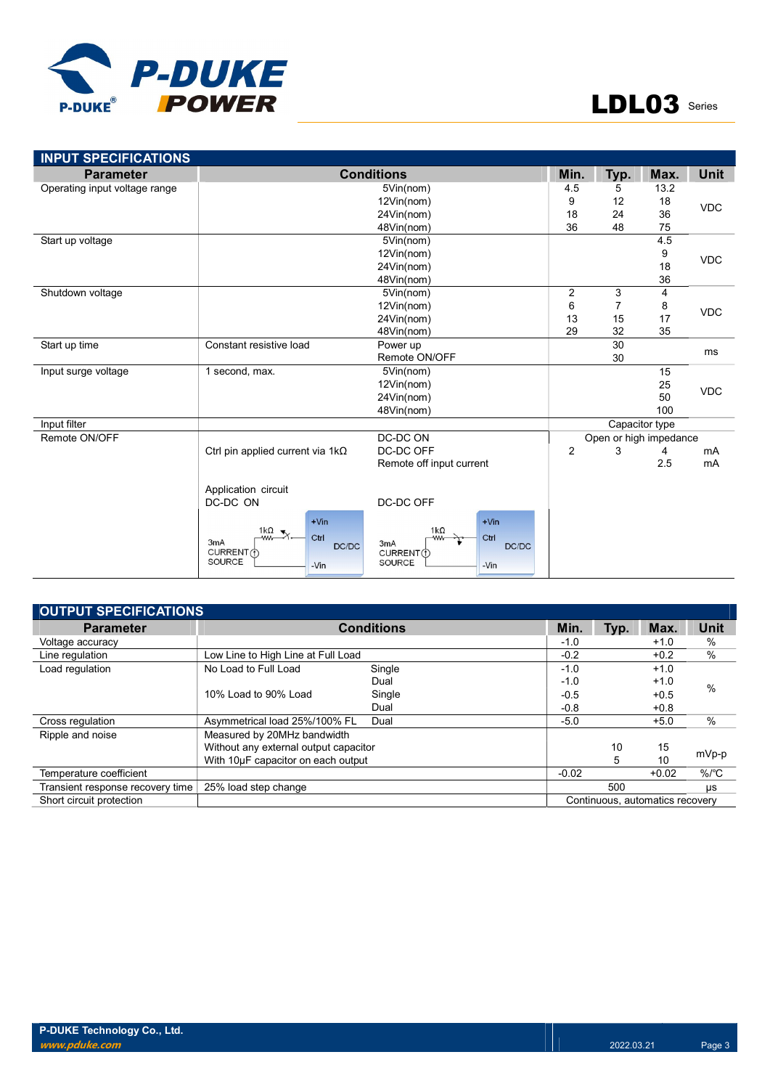

| <b>INPUT SPECIFICATIONS</b><br><b>Parameter</b> |                                                                      | <b>Conditions</b>                                           | Min.           | Typ.                   | Max. | <b>Unit</b> |
|-------------------------------------------------|----------------------------------------------------------------------|-------------------------------------------------------------|----------------|------------------------|------|-------------|
| Operating input voltage range                   |                                                                      | 5Vin(nom)                                                   | 4.5            | 5                      | 13.2 |             |
|                                                 |                                                                      | 12Vin(nom)                                                  |                |                        | 18   | <b>VDC</b>  |
|                                                 |                                                                      | 24Vin(nom)                                                  |                |                        | 36   |             |
|                                                 |                                                                      | 48Vin(nom)                                                  | 18<br>36       | 48                     | 75   |             |
| Start up voltage                                |                                                                      | 5Vin(nom)                                                   |                |                        | 4.5  |             |
|                                                 |                                                                      | 12Vin(nom)                                                  |                |                        | 9    |             |
|                                                 |                                                                      | 24Vin(nom)                                                  |                |                        | 18   | <b>VDC</b>  |
|                                                 |                                                                      | 48Vin(nom)                                                  |                |                        | 36   |             |
| Shutdown voltage                                |                                                                      | 5Vin(nom)                                                   | $\overline{2}$ | 3                      | 4    |             |
|                                                 |                                                                      | 12Vin(nom)                                                  | 6              | $\overline{7}$         | 8    | <b>VDC</b>  |
|                                                 |                                                                      | 24Vin(nom)                                                  | 13             | 15                     | 17   |             |
|                                                 |                                                                      | 48Vin(nom)                                                  | 29             | 32                     | 35   |             |
| Start up time                                   | Constant resistive load                                              | Power up                                                    |                | 30                     |      | ms          |
|                                                 |                                                                      | Remote ON/OFF                                               |                | 30                     |      |             |
| Input surge voltage                             | 1 second, max.                                                       | 5Vin(nom)                                                   |                |                        | 15   |             |
|                                                 |                                                                      | 12Vin(nom)                                                  |                |                        | 25   | <b>VDC</b>  |
|                                                 |                                                                      | 24Vin(nom)                                                  |                |                        | 50   |             |
|                                                 |                                                                      | 48Vin(nom)                                                  |                |                        | 100  |             |
| Input filter                                    |                                                                      |                                                             | Capacitor type |                        |      |             |
| Remote ON/OFF                                   |                                                                      | DC-DC ON                                                    |                | Open or high impedance |      |             |
|                                                 | Ctrl pin applied current via $1k\Omega$                              | DC-DC OFF                                                   | $\overline{2}$ | 3                      | 4    | mA          |
|                                                 |                                                                      | Remote off input current                                    |                |                        | 2.5  | mA          |
|                                                 | Application circuit                                                  |                                                             |                |                        |      |             |
|                                                 | DC-DC ON                                                             | DC-DC OFF                                                   |                |                        |      |             |
|                                                 |                                                                      |                                                             |                |                        |      |             |
|                                                 | $+V$ in<br>1 $k\Omega$<br>Ctrl<br>ww-<br>3mA<br>DC/DC<br>CURRENT (1) | $+V$ in<br>$1k\Omega$<br>Ctrl<br>3mA<br>DC/DC<br>CURRENT(1) |                |                        |      |             |
|                                                 | SOURCE<br>-Vin                                                       | SOURCE<br>-Vin                                              |                |                        |      |             |

| <b>OUTPUT SPECIFICATIONS</b>     |                                    |                                       |         |      |           |                      |
|----------------------------------|------------------------------------|---------------------------------------|---------|------|-----------|----------------------|
| <b>Parameter</b>                 |                                    | <b>Conditions</b>                     | Min.    | Typ. | Max.      | <b>Unit</b>          |
| Voltage accuracy                 |                                    |                                       | $-1.0$  |      | $+1.0$    | $\%$                 |
| Line regulation                  | Low Line to High Line at Full Load |                                       | $-0.2$  |      | $+0.2$    | $\frac{0}{0}$        |
| Load regulation                  | No Load to Full Load               | Single                                | $-1.0$  |      | $+1.0$    |                      |
|                                  |                                    | Dual                                  | $-1.0$  |      | $+1.0$    | $\%$                 |
|                                  | 10% Load to 90% Load               | Single                                | $-0.5$  |      | $+0.5$    |                      |
|                                  |                                    | Dual                                  | $-0.8$  |      | $+0.8$    |                      |
| Cross regulation                 | Asymmetrical load 25%/100% FL      | Dual                                  | $-5.0$  |      | $+5.0$    | $\%$                 |
| Ripple and noise                 | Measured by 20MHz bandwidth        |                                       |         |      |           |                      |
|                                  |                                    | Without any external output capacitor |         | 10   | 15        |                      |
|                                  | With 10µF capacitor on each output |                                       |         | 5    | 10        | mVp-p                |
| Temperature coefficient          |                                    |                                       | $-0.02$ |      | $+0.02$   | $%$ / ${}^{\circ}$ C |
| Transient response recovery time | 25% load step change               |                                       | 500     |      | <b>US</b> |                      |
| Short circuit protection         | Continuous, automatics recovery    |                                       |         |      |           |                      |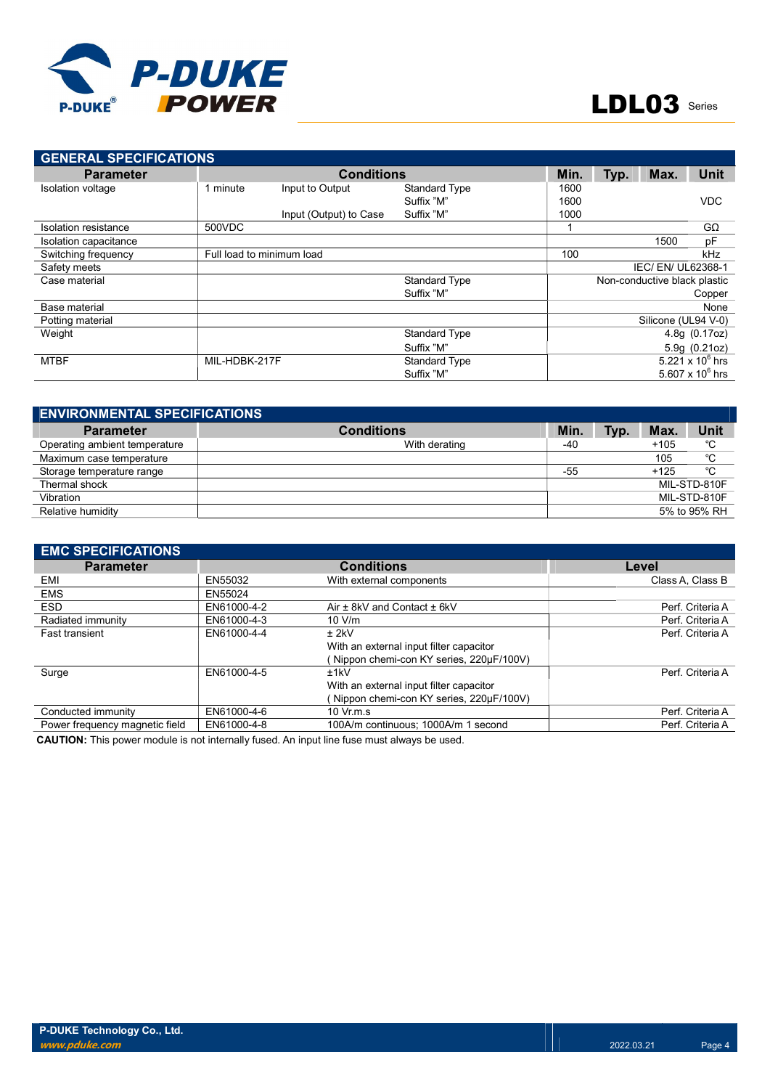

| <b>GENERAL SPECIFICATIONS</b> |               |                           |                      |      |                              |                     |                    |
|-------------------------------|---------------|---------------------------|----------------------|------|------------------------------|---------------------|--------------------|
| <b>Parameter</b>              |               | <b>Conditions</b>         |                      | Min. | Typ.                         | Max.                | <b>Unit</b>        |
| Isolation voltage             | minute        | Input to Output           | <b>Standard Type</b> | 1600 |                              |                     |                    |
|                               |               |                           | Suffix "M"           | 1600 |                              |                     | <b>VDC</b>         |
|                               |               | Input (Output) to Case    | Suffix "M"           | 1000 |                              |                     |                    |
| Isolation resistance          | 500VDC        |                           |                      |      |                              |                     | $G\Omega$          |
| Isolation capacitance         |               |                           |                      |      |                              | 1500                | pF                 |
| Switching frequency           |               | Full load to minimum load |                      | 100  |                              |                     | kHz                |
| Safety meets                  |               |                           |                      |      | IEC/EN/UL62368-1             |                     |                    |
| Case material                 |               |                           | <b>Standard Type</b> |      | Non-conductive black plastic |                     |                    |
|                               |               |                           | Suffix "M"           |      |                              |                     | Copper             |
| Base material                 |               |                           |                      |      |                              |                     | None               |
| Potting material              |               |                           |                      |      |                              | Silicone (UL94 V-0) |                    |
| Weight                        |               |                           | <b>Standard Type</b> |      |                              |                     | 4.8g(0.17oz)       |
|                               |               |                           | Suffix "M"           |      |                              |                     | 5.9g (0.21oz)      |
| <b>MTBF</b>                   | MIL-HDBK-217F |                           | <b>Standard Type</b> |      |                              |                     | 5.221 x $10^6$ hrs |
|                               |               |                           | Suffix "M"           |      |                              |                     | 5.607 x $10^6$ hrs |

| <b>ENVIRONMENTAL SPECIFICATIONS</b> |                   |     |      |        |              |  |
|-------------------------------------|-------------------|-----|------|--------|--------------|--|
| <b>Parameter</b>                    | <b>Conditions</b> | Min | Typ. | Max.   | <b>Unit</b>  |  |
| Operating ambient temperature       | With derating     | -40 |      | $+105$ | °C           |  |
| Maximum case temperature            |                   |     |      | 105    | °C           |  |
| Storage temperature range           |                   | -55 |      | $+125$ | °C           |  |
| Thermal shock                       |                   |     |      |        | MIL-STD-810F |  |
| Vibration                           |                   |     |      |        | MIL-STD-810F |  |
| Relative humidity                   |                   |     |      |        | 5% to 95% RH |  |

| <b>EMC SPECIFICATIONS</b>      |             |                                         |                  |
|--------------------------------|-------------|-----------------------------------------|------------------|
| <b>Parameter</b>               |             | <b>Conditions</b>                       | Level            |
| EMI                            | EN55032     | With external components                | Class A. Class B |
| <b>EMS</b>                     | EN55024     |                                         |                  |
| <b>ESD</b>                     | EN61000-4-2 | Air ± 8kV and Contact ± 6kV             | Perf. Criteria A |
| Radiated immunity              | EN61000-4-3 | 10 V/m                                  | Perf. Criteria A |
| <b>Fast transient</b>          | EN61000-4-4 | $±$ 2kV                                 | Perf. Criteria A |
|                                |             | With an external input filter capacitor |                  |
|                                |             | Nippon chemi-con KY series, 220uF/100V) |                  |
| Surge                          | EN61000-4-5 | ±1kV                                    | Perf. Criteria A |
|                                |             | With an external input filter capacitor |                  |
|                                |             | Nippon chemi-con KY series, 220µF/100V) |                  |
| Conducted immunity             | EN61000-4-6 | $10 \,$ Vr.m.s                          | Perf. Criteria A |
| Power frequency magnetic field | EN61000-4-8 | 100A/m continuous: 1000A/m 1 second     | Perf. Criteria A |

CAUTION: This power module is not internally fused. An input line fuse must always be used.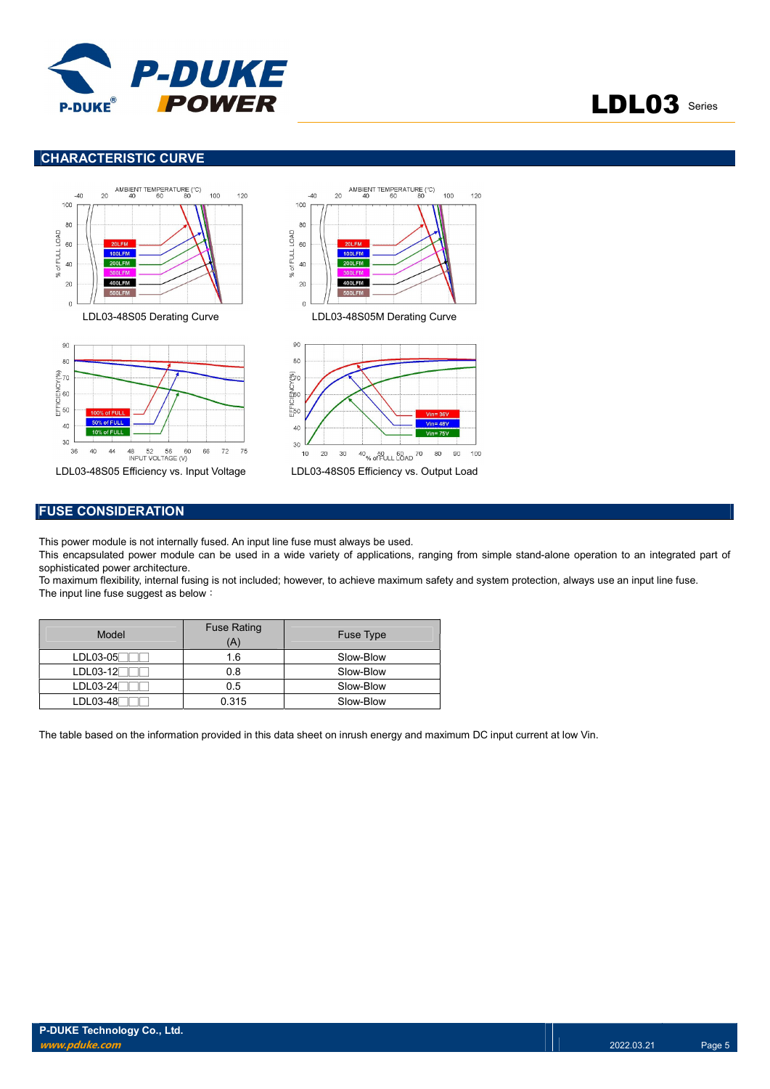

## LDL03 Series

#### CHARACTERISTIC CURVE



#### FUSE CONSIDERATION

This power module is not internally fused. An input line fuse must always be used.

This encapsulated power module can be used in a wide variety of applications, ranging from simple stand-alone operation to an integrated part of sophisticated power architecture.

To maximum flexibility, internal fusing is not included; however, to achieve maximum safety and system protection, always use an input line fuse. The input line fuse suggest as below:

| Model      | <b>Fuse Rating</b><br>'A) | Fuse Type |
|------------|---------------------------|-----------|
| $LDL03-05$ | 1.6                       | Slow-Blow |
| $LDL03-12$ | 0.8                       | Slow-Blow |
| LDL03-24   | 0.5                       | Slow-Blow |
| $LDL03-48$ | 0.315                     | Slow-Blow |

The table based on the information provided in this data sheet on inrush energy and maximum DC input current at low Vin.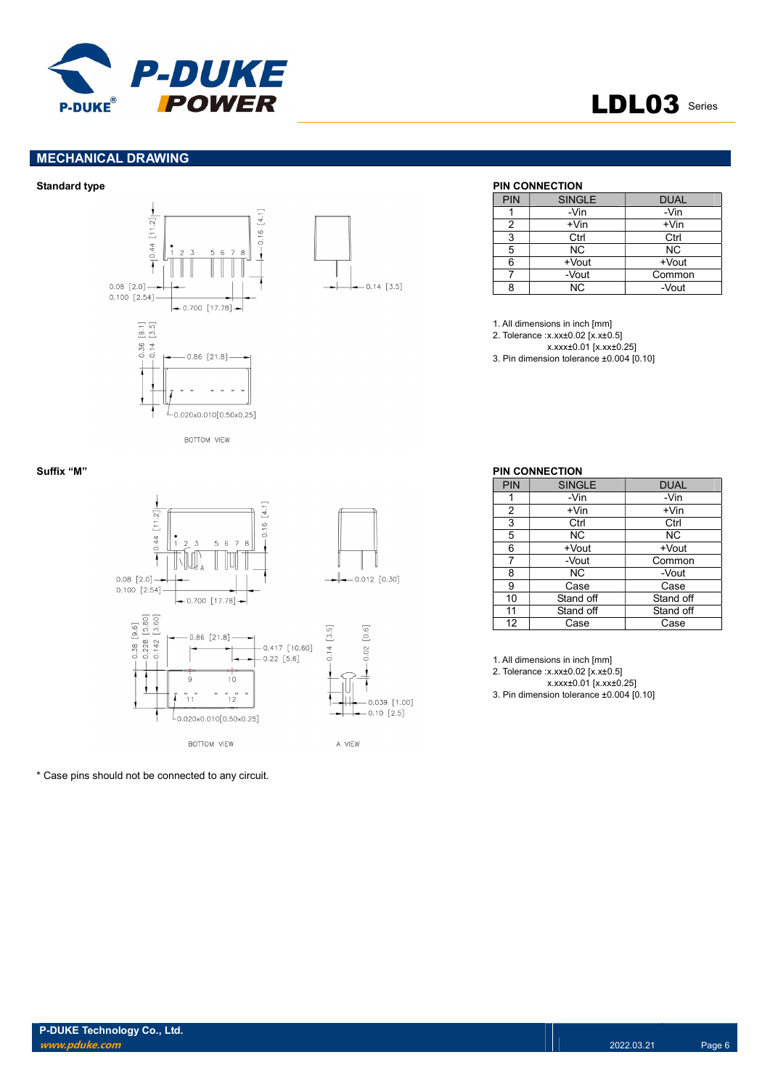

## LDL03 Series

#### MECHANICAL DRAWING





#### Standard type **PIN CONNECTION**

| PIN | <b>SINGLE</b> | <b>DUAL</b> |
|-----|---------------|-------------|
|     | -Vin          | -Vin        |
| 2   | $+V$ in       | $+V$ in     |
| 3   | Ctrl          | Ctrl        |
| 5   | <b>NC</b>     | <b>NC</b>   |
| 6   | +Vout         | +Vout       |
|     | -Vout         | Common      |
| ጸ   | <b>NC</b>     | -Vout       |

1. All dimensions in inch [mm]

2. Tolerance :x.xx±0.02 [x.x±0.5]

x.xxx±0.01 [x.xx±0.25] 3. Pin dimension tolerance ±0.004 [0.10]



\* Case pins should not be connected to any circuit.

#### Suffix "M" PIN CONNECTION

| PIN | <b>SINGLE</b> | <b>DUAL</b> |
|-----|---------------|-------------|
|     | -Vin          | -Vin        |
| 2   | +Vin          | $+V$ in     |
| 3   | Ctrl          | Ctrl        |
| 5   | NC.           | NC.         |
| 6   | +Vout         | +Vout       |
| 7   | -Vout         | Common      |
| 8   | NC.           | -Vout       |
| 9   | Case          | Case        |
| 10  | Stand off     | Stand off   |
| 11  | Stand off     | Stand off   |
| 12  | Case          | Case        |

1. All dimensions in inch [mm]

2. Tolerance :x.xx±0.02 [x.x±0.5]

x.xxx±0.01 [x.xx±0.25]

3. Pin dimension tolerance ±0.004 [0.10]